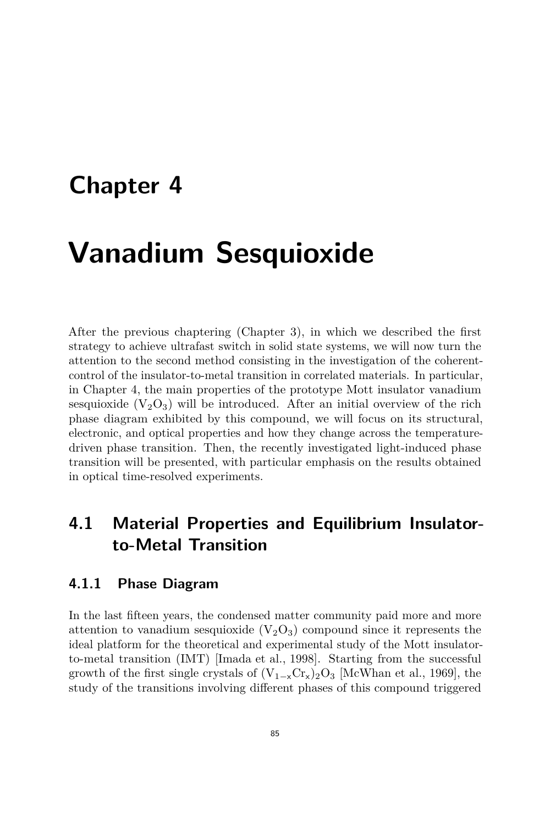## **Chapter 4**

# **Vanadium Sesquioxide**

After the previous chaptering (Chapter 3), in which we described the first strategy to achieve ultrafast switch in solid state systems, we will now turn the attention to the second method consisting in the investigation of the coherentcontrol of the insulator-to-metal transition in correlated materials. In particular, in Chapter 4, the main properties of the prototype Mott insulator vanadium sesquioxide  $(V_2O_3)$  will be introduced. After an initial overview of the rich phase diagram exhibited by this compound, we will focus on its structural, electronic, and optical properties and how they change across the temperaturedriven phase transition. Then, the recently investigated light-induced phase transition will be presented, with particular emphasis on the results obtained in optical time-resolved experiments.

## **4.1 Material Properties and Equilibrium Insulatorto-Metal Transition**

#### **4.1.1 Phase Diagram**

In the last fifteen years, the condensed matter community paid more and more attention to vanadium sesquioxide  $(V_2O_3)$  compound since it represents the ideal platform for the theoretical and experimental study of the Mott insulatorto-metal transition (IMT) [Imada et al., 1998]. Starting from the successful growth of the first single crystals of  $(V_{1-x}Cr_x)_2O_3$  [McWhan et al., 1969], the study of the transitions involving different phases of this compound triggered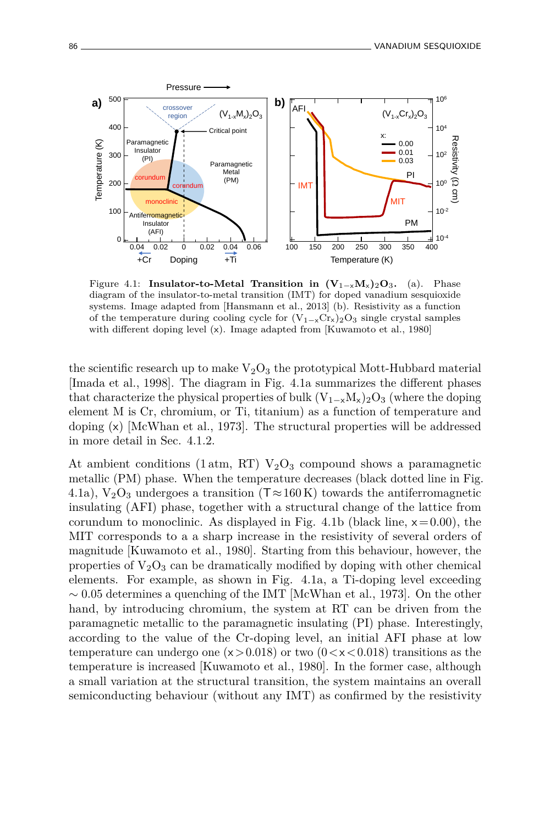

Figure 4.1: **Insulator-to-Metal Transition in**  $(V_{1-x}M_x)_2O_3$ **.** (a). Phase diagram of the insulator-to-metal transition (IMT) for doped vanadium sesquioxide systems. Image adapted from [Hansmann et al., 2013] (b). Resistivity as a function of the temperature during cooling cycle for  $(V_{1-x}Cr_x)_{2}O_3$  single crystal samples with different doping level (x). Image adapted from [Kuwamoto et al., 1980]

the scientific research up to make  $V_2O_3$  the prototypical Mott-Hubbard material [Imada et al., 1998]. The diagram in Fig. 4.1a summarizes the different phases that characterize the physical properties of bulk  $(V_{1-x}M_x)_2O_3$  (where the doping element M is Cr, chromium, or Ti, titanium) as a function of temperature and doping  $(x)$  [McWhan et al., 1973]. The structural properties will be addressed in more detail in Sec. 4.1.2.

At ambient conditions (1 atm, RT)  $V_2O_3$  compound shows a paramagnetic metallic (PM) phase. When the temperature decreases (black dotted line in Fig. 4.1a),  $V_2O_3$  undergoes a transition (T $\approx$ 160 K) towards the antiferromagnetic insulating (AFI) phase, together with a structural change of the lattice from corundum to monoclinic. As displayed in Fig. 4.1b (black line, x= 0*.*00), the MIT corresponds to a a sharp increase in the resistivity of several orders of magnitude [Kuwamoto et al., 1980]. Starting from this behaviour, however, the properties of  $V_2O_3$  can be dramatically modified by doping with other chemical elements. For example, as shown in Fig. 4.1a, a Ti-doping level exceeding ∼ 0*.*05 determines a quenching of the IMT [McWhan et al., 1973]. On the other hand, by introducing chromium, the system at RT can be driven from the paramagnetic metallic to the paramagnetic insulating (PI) phase. Interestingly, according to the value of the Cr-doping level, an initial AFI phase at low temperature can undergo one (x*>*0*.*018) or two (0*<*x*<*0*.*018) transitions as the temperature is increased [Kuwamoto et al., 1980]. In the former case, although a small variation at the structural transition, the system maintains an overall semiconducting behaviour (without any IMT) as confirmed by the resistivity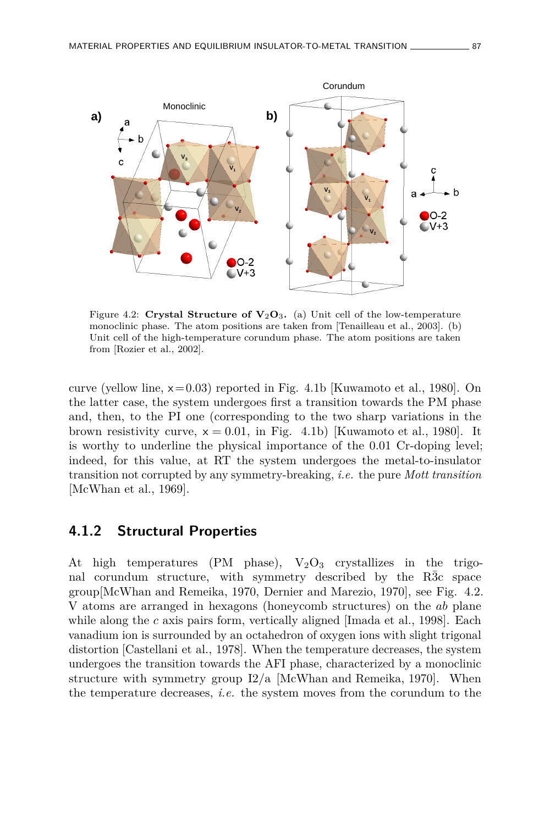

Figure 4.2: **Crystal Structure of**  $V_2O_3$ **. (a) Unit cell of the low-temperature** monoclinic phase. The atom positions are taken from [Tenailleau et al., 2003]. (b) Unit cell of the high-temperature corundum phase. The atom positions are taken from [Rozier et al., 2002].

curve (yellow line, x= 0*.*03) reported in Fig. 4.1b [Kuwamoto et al., 1980]. On the latter case, the system undergoes first a transition towards the PM phase and, then, to the PI one (corresponding to the two sharp variations in the brown resistivity curve,  $x = 0.01$ , in Fig. 4.1b) [Kuwamoto et al., 1980]. It is worthy to underline the physical importance of the 0*.*01 Cr-doping level; indeed, for this value, at RT the system undergoes the metal-to-insulator transition not corrupted by any symmetry-breaking, *i.e.* the pure *Mott transition* [McWhan et al., 1969].

#### **4.1.2 Structural Properties**

At high temperatures (PM phase),  $V_2O_3$  crystallizes in the trigonal corundum structure, with symmetry described by the R $3c$  space group[McWhan and Remeika, 1970, Dernier and Marezio, 1970], see Fig. 4.2. V atoms are arranged in hexagons (honeycomb structures) on the *ab* plane while along the *c* axis pairs form, vertically aligned [Imada et al., 1998]. Each vanadium ion is surrounded by an octahedron of oxygen ions with slight trigonal distortion [Castellani et al., 1978]. When the temperature decreases, the system undergoes the transition towards the AFI phase, characterized by a monoclinic structure with symmetry group I2/a [McWhan and Remeika, 1970]. When the temperature decreases, *i.e.* the system moves from the corundum to the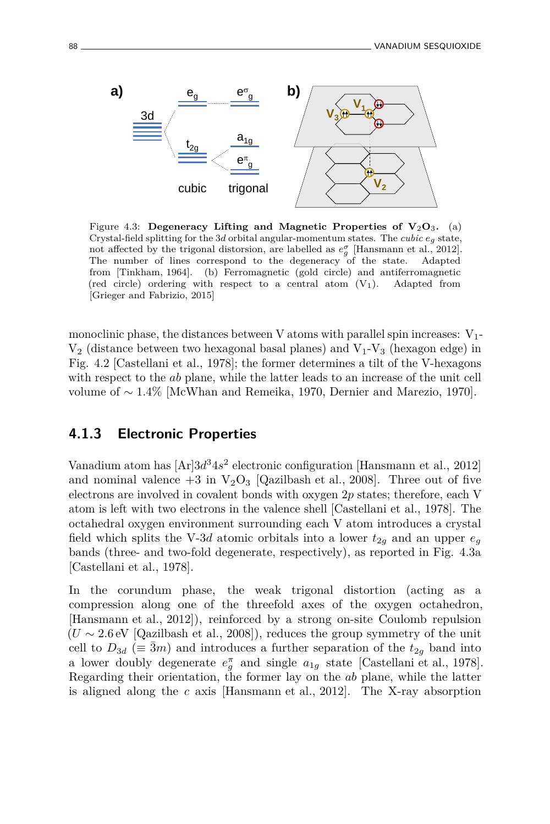

Figure 4.3: **Degeneracy Lifting and Magnetic Properties of**  $V_2O_3$ **.** (a) Crystal-field splitting for the 3*d* orbital angular-momentum states. The *cubic*  $e_q$  state, not affected by the trigonal distorsion, are labelled as  $e^{\sigma}_{g}$  [Hansmann et al., 2012]. The number of lines correspond to the degeneracy of the state. Adapted from [Tinkham, 1964]. (b) Ferromagnetic (gold circle) and antiferromagnetic (red circle) ordering with respect to a central atom  $(V_1)$ . Adapted from [Grieger and Fabrizio, 2015]

monoclinic phase, the distances between V atoms with parallel spin increases:  $V_1$ - $V_2$  (distance between two hexagonal basal planes) and  $V_1$ - $V_3$  (hexagon edge) in Fig. 4.2 [Castellani et al., 1978]; the former determines a tilt of the V-hexagons with respect to the *ab* plane, while the latter leads to an increase of the unit cell volume of ∼ 1*.*4% [McWhan and Remeika, 1970, Dernier and Marezio, 1970].

#### **4.1.3 Electronic Properties**

Vanadium atom has  $[Ar]3d^34s^2$  electronic configuration [Hansmann et al., 2012] and nominal valence  $+3$  in  $V_2O_3$  [Qazilbash et al., 2008]. Three out of five electrons are involved in covalent bonds with oxygen 2*p* states; therefore, each V atom is left with two electrons in the valence shell [Castellani et al., 1978]. The octahedral oxygen environment surrounding each V atom introduces a crystal field which splits the V-3*d* atomic orbitals into a lower  $t_{2g}$  and an upper  $e_g$ bands (three- and two-fold degenerate, respectively), as reported in Fig. 4.3a [Castellani et al., 1978].

In the corundum phase, the weak trigonal distortion (acting as a compression along one of the threefold axes of the oxygen octahedron, [Hansmann et al., 2012]), reinforced by a strong on-site Coulomb repulsion  $(U \sim 2.6 \text{ eV}$  [Qazilbash et al., 2008]), reduces the group symmetry of the unit cell to  $D_{3d}$  ( $\equiv$   $\bar{3}m$ ) and introduces a further separation of the  $t_{2g}$  band into a lower doubly degenerate  $e_g^{\pi}$  and single  $a_{1g}$  state [Castellani et al., 1978]. Regarding their orientation, the former lay on the *ab* plane, while the latter is aligned along the *c* axis [Hansmann et al., 2012]. The X-ray absorption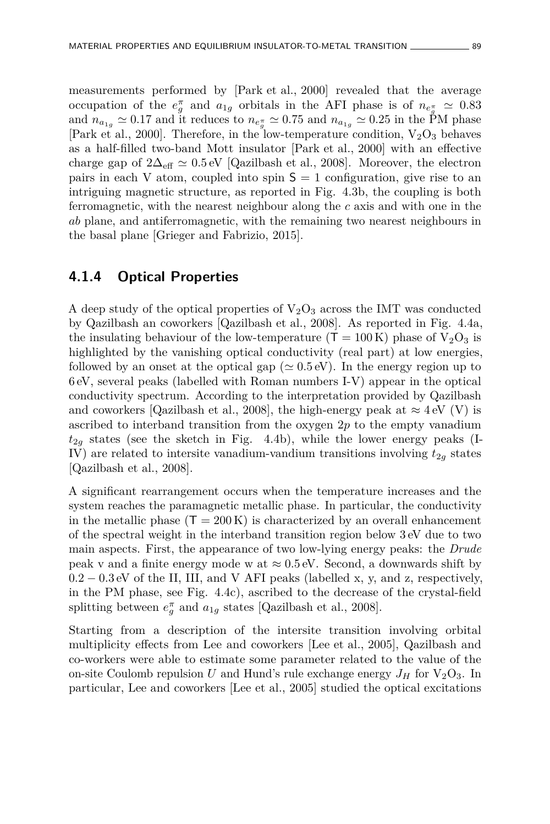measurements performed by [Park et al., 2000] revealed that the average occupation of the  $e_g^{\pi}$  and  $a_{1g}$  orbitals in the AFI phase is of  $n_{e_g^{\pi}} \simeq 0.83$ and  $n_{a_{1g}} \simeq 0.17$  and it reduces to  $n_{e_g^{\pi}} \simeq 0.75$  and  $n_{a_{1g}} \simeq 0.25$  in the PM phase [Park et al., 2000]. Therefore, in the low-temperature condition,  $V_2O_3$  behaves as a half-filled two-band Mott insulator [Park et al., 2000] with an effective charge gap of  $2\Delta_{\text{eff}} \simeq 0.5 \text{ eV}$  [Qazilbash et al., 2008]. Moreover, the electron pairs in each V atom, coupled into spin  $S = 1$  configuration, give rise to an intriguing magnetic structure, as reported in Fig. 4.3b, the coupling is both ferromagnetic, with the nearest neighbour along the *c* axis and with one in the *ab* plane, and antiferromagnetic, with the remaining two nearest neighbours in the basal plane [Grieger and Fabrizio, 2015].

#### **4.1.4 Optical Properties**

A deep study of the optical properties of  $V_2O_3$  across the IMT was conducted by Qazilbash an coworkers [Qazilbash et al., 2008]. As reported in Fig. 4.4a, the insulating behaviour of the low-temperature  $(T = 100 \text{ K})$  phase of  $V_2O_3$  is highlighted by the vanishing optical conductivity (real part) at low energies, followed by an onset at the optical gap ( $\simeq 0.5$  eV). In the energy region up to 6 eV, several peaks (labelled with Roman numbers I-V) appear in the optical conductivity spectrum. According to the interpretation provided by Qazilbash and coworkers [Qazilbash et al., 2008], the high-energy peak at  $\approx 4 \text{ eV}$  (V) is ascribed to interband transition from the oxygen 2*p* to the empty vanadium  $t_{2g}$  states (see the sketch in Fig. 4.4b), while the lower energy peaks (I-IV) are related to intersite vanadium-vandium transitions involving  $t_{2g}$  states [Qazilbash et al., 2008].

A significant rearrangement occurs when the temperature increases and the system reaches the paramagnetic metallic phase. In particular, the conductivity in the metallic phase  $(T = 200 \text{ K})$  is characterized by an overall enhancement of the spectral weight in the interband transition region below 3 eV due to two main aspects. First, the appearance of two low-lying energy peaks: the *Drude* peak v and a finite energy mode w at  $\approx 0.5$  eV. Second, a downwards shift by 0*.*2 − 0*.*3 eV of the II, III, and V AFI peaks (labelled x, y, and z, respectively, in the PM phase, see Fig. 4.4c), ascribed to the decrease of the crystal-field splitting between  $e_g^{\pi}$  and  $a_{1g}$  states [Qazilbash et al., 2008].

Starting from a description of the intersite transition involving orbital multiplicity effects from Lee and coworkers [Lee et al., 2005], Qazilbash and co-workers were able to estimate some parameter related to the value of the on-site Coulomb repulsion U and Hund's rule exchange energy  $J_H$  for  $V_2O_3$ . In particular, Lee and coworkers [Lee et al., 2005] studied the optical excitations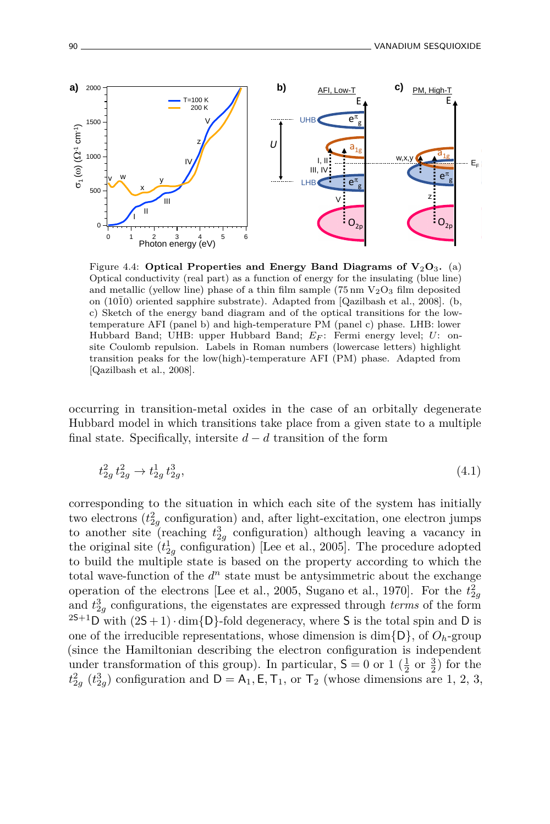

Figure 4.4: **Optical Properties and Energy Band Diagrams of V**2**O**3**.** (a) Optical conductivity (real part) as a function of energy for the insulating (blue line) and metallic (yellow line) phase of a thin film sample (75 nm  $V_2O_3$  film deposited on  $(10\overline{1}0)$  oriented sapphire substrate). Adapted from [Qazilbash et al., 2008]. (b, c) Sketch of the energy band diagram and of the optical transitions for the lowtemperature AFI (panel b) and high-temperature PM (panel c) phase. LHB: lower Hubbard Band; UHB: upper Hubbard Band;  $E_F$ : Fermi energy level; *U*: onsite Coulomb repulsion. Labels in Roman numbers (lowercase letters) highlight transition peaks for the low(high)-temperature AFI (PM) phase. Adapted from [Qazilbash et al., 2008].

occurring in transition-metal oxides in the case of an orbitally degenerate Hubbard model in which transitions take place from a given state to a multiple final state. Specifically, intersite  $d - d$  transition of the form

$$
t_{2g}^2 t_{2g}^2 \to t_{2g}^1 t_{2g}^3,\tag{4.1}
$$

corresponding to the situation in which each site of the system has initially two electrons  $(t_{2g}^2$  configuration) and, after light-excitation, one electron jumps to another site (reaching  $t_{2g}^3$  configuration) although leaving a vacancy in the original site  $(t_{2g}^1$  configuration) [Lee et al., 2005]. The procedure adopted to build the multiple state is based on the property according to which the total wave-function of the  $d^n$  state must be antysimmetric about the exchange operation of the electrons [Lee et al., 2005, Sugano et al., 1970]. For the  $t_{2g}^2$ and  $t_{2g}^3$  configurations, the eigenstates are expressed through *terms* of the form <sup>2S+1</sup>D with  $(2S + 1) \cdot \dim\{D\}$ -fold degeneracy, where S is the total spin and D is one of the irreducible representations, whose dimension is  $\dim\{D\}$ , of  $O_h$ -group (since the Hamiltonian describing the electron configuration is independent under transformation of this group). In particular,  $\mathsf{S} = 0$  or  $1\left(\frac{1}{2} \text{ or } \frac{3}{2}\right)$  for the  $t_{2g}^2$  ( $t_{2g}^3$ ) configuration and  $D = A_1, E, T_1$ , or  $T_2$  (whose dimensions are 1, 2, 3,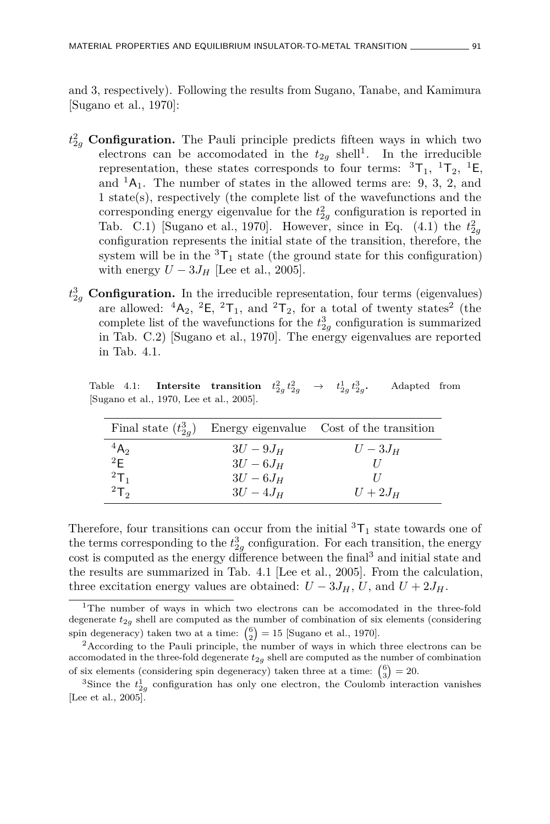and 3, respectively). Following the results from Sugano, Tanabe, and Kamimura [Sugano et al., 1970]:

- *t* 2 <sup>2</sup>*<sup>g</sup>* **Configuration.** The Pauli principle predicts fifteen ways in which two electrons can be accomodated in the  $t_{2g}$  shell<sup>1</sup>. In the irreducible representation, these states corresponds to four terms:  ${}^{3}T_{1}$ ,  ${}^{1}T_{2}$ ,  ${}^{1}E$ , and  ${}^{1}A_{1}$ . The number of states in the allowed terms are: 9, 3, 2, and 1 state(s), respectively (the complete list of the wavefunctions and the corresponding energy eigenvalue for the  $t_{2g}^2$  configuration is reported in Tab. C.1) [Sugano et al., 1970]. However, since in Eq.  $(4.1)$  the  $t_{2g}^2$ configuration represents the initial state of the transition, therefore, the system will be in the  ${}^{3}T_{1}$  state (the ground state for this configuration) with energy  $U - 3J_H$  [Lee et al., 2005].
- *t* 3 <sup>2</sup>*<sup>g</sup>* **Configuration.** In the irreducible representation, four terms (eigenvalues) are allowed:  ${}^{4}A_{2}$ ,  ${}^{2}E$ ,  ${}^{2}T_{1}$ , and  ${}^{2}T_{2}$ , for a total of twenty states<sup>2</sup> (the complete list of the wavefunctions for the  $t_{2g}$ <sup>2</sup> configuration is summarized in Tab. C.2) [Sugano et al., 1970]. The energy eigenvalues are reported in Tab. 4.1.

 $\text{Table 4.1:} \quad \text{Intersite} \quad \text{transition} \quad t^2_{2g} \, t^2_{2g} \quad \rightarrow \quad t^1_{2g} \, t^3_{2g}$ **.** Adapted from [Sugano et al., 1970, Lee et al., 2005].

| Final state $(t_{2a}^3)$ |             | Energy eigenvalue Cost of the transition |
|--------------------------|-------------|------------------------------------------|
| $^{4}A_{2}$              | $3U-9J_{H}$ | $U-3J_H$                                 |
| 2F                       | $3U-6J_H$   |                                          |
| $^{2}T_{1}$              | $3U-6J_H$   |                                          |
| 2T <sub>2</sub>          | $3U-4J_H$   | $U+2J_H$                                 |

Therefore, four transitions can occur from the initial  ${}^{3}T_{1}$  state towards one of the terms corresponding to the  $t_{2g}^3$  configuration. For each transition, the energy cost is computed as the energy difference between the final<sup>3</sup> and initial state and the results are summarized in Tab. 4.1 [Lee et al., 2005]. From the calculation, three excitation energy values are obtained:  $U - 3J_H$ ,  $U$ , and  $U + 2J_H$ .

<sup>&</sup>lt;sup>1</sup>The number of ways in which two electrons can be accomodated in the three-fold degenerate  $t_{2g}$  shell are computed as the number of combination of six elements (considering spin degeneracy) taken two at a time:  $\binom{6}{2} = 15$  [Sugano et al., 1970].

<sup>2</sup>According to the Pauli principle, the number of ways in which three electrons can be accomodated in the three-fold degenerate  $t_{2g}$  shell are computed as the number of combination of six elements (considering spin degeneracy) taken three at a time:  $\binom{6}{3} = 20$ .

<sup>&</sup>lt;sup>3</sup>Since the  $t_{2g}$ <sup>1</sup> configuration has only one electron, the Coulomb interaction vanishes [Lee et al., 2005].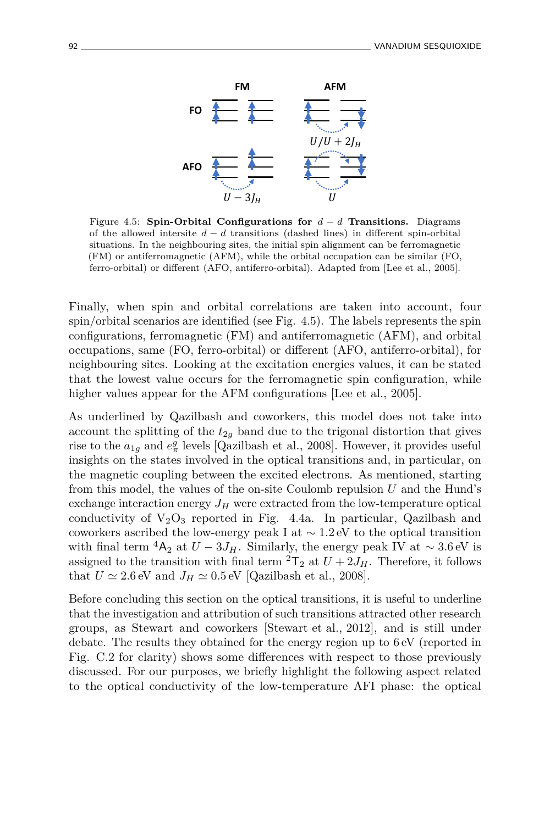

Figure 4.5: **Spin-Orbital Configurations for**  $d - d$  **Transitions.** Diagrams of the allowed intersite *d* − *d* transitions (dashed lines) in different spin-orbital situations. In the neighbouring sites, the initial spin alignment can be ferromagnetic (FM) or antiferromagnetic (AFM), while the orbital occupation can be similar (FO, ferro-orbital) or different (AFO, antiferro-orbital). Adapted from [Lee et al., 2005].

Finally, when spin and orbital correlations are taken into account, four spin/orbital scenarios are identified (see Fig. 4.5). The labels represents the spin configurations, ferromagnetic (FM) and antiferromagnetic (AFM), and orbital occupations, same (FO, ferro-orbital) or different (AFO, antiferro-orbital), for neighbouring sites. Looking at the excitation energies values, it can be stated that the lowest value occurs for the ferromagnetic spin configuration, while higher values appear for the AFM configurations [Lee et al., 2005].

As underlined by Qazilbash and coworkers, this model does not take into account the splitting of the  $t_{2g}$  band due to the trigonal distortion that gives rise to the  $a_{1g}$  and  $e^g_{\pi}$  levels [Qazilbash et al., 2008]. However, it provides useful insights on the states involved in the optical transitions and, in particular, on the magnetic coupling between the excited electrons. As mentioned, starting from this model, the values of the on-site Coulomb repulsion *U* and the Hund's exchange interaction energy  $J_H$  were extracted from the low-temperature optical conductivity of  $V_2O_3$  reported in Fig. 4.4a. In particular, Qazilbash and coworkers ascribed the low-energy peak I at ∼ 1*.*2 eV to the optical transition with final term <sup>4</sup>A<sub>2</sub> at  $U - 3J_H$ . Similarly, the energy peak IV at  $\sim 3.6 \text{ eV}$  is assigned to the transition with final term  ${}^{2}T_{2}$  at  $U + 2J_{H}$ . Therefore, it follows that  $U \simeq 2.6 \text{ eV}$  and  $J_H \simeq 0.5 \text{ eV}$  [Qazilbash et al., 2008].

Before concluding this section on the optical transitions, it is useful to underline that the investigation and attribution of such transitions attracted other research groups, as Stewart and coworkers [Stewart et al., 2012], and is still under debate. The results they obtained for the energy region up to 6 eV (reported in Fig. C.2 for clarity) shows some differences with respect to those previously discussed. For our purposes, we briefly highlight the following aspect related to the optical conductivity of the low-temperature AFI phase: the optical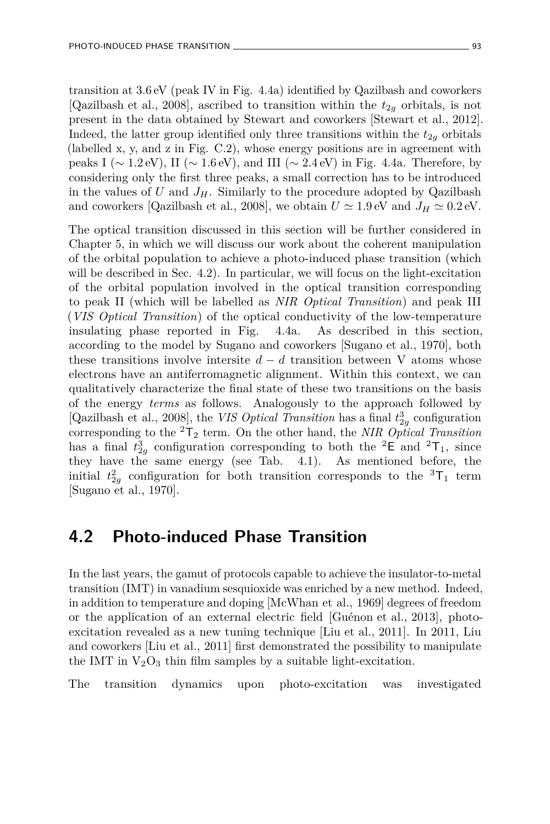transition at 3*.*6 eV (peak IV in Fig. 4.4a) identified by Qazilbash and coworkers [Qazilbash et al., 2008], ascribed to transition within the  $t_{2g}$  orbitals, is not present in the data obtained by Stewart and coworkers [Stewart et al., 2012]. Indeed, the latter group identified only three transitions within the  $t_{2g}$  orbitals (labelled x, y, and z in Fig. C.2), whose energy positions are in agreement with peaks I ( $\sim$  1.2 eV), II ( $\sim$  1.6 eV), and III ( $\sim$  2.4 eV) in Fig. 4.4a. Therefore, by considering only the first three peaks, a small correction has to be introduced in the values of  $U$  and  $J_H$ . Similarly to the procedure adopted by Qazilbash and coworkers [Qazilbash et al., 2008], we obtain  $U \simeq 1.9 \text{ eV}$  and  $J_H \simeq 0.2 \text{ eV}$ .

The optical transition discussed in this section will be further considered in Chapter 5, in which we will discuss our work about the coherent manipulation of the orbital population to achieve a photo-induced phase transition (which will be described in Sec. 4.2). In particular, we will focus on the light-excitation of the orbital population involved in the optical transition corresponding to peak II (which will be labelled as *NIR Optical Transition*) and peak III (*VIS Optical Transition*) of the optical conductivity of the low-temperature insulating phase reported in Fig. 4.4a. As described in this section, according to the model by Sugano and coworkers [Sugano et al., 1970], both these transitions involve intersite  $d - d$  transition between V atoms whose electrons have an antiferromagnetic alignment. Within this context, we can qualitatively characterize the final state of these two transitions on the basis of the energy *terms* as follows. Analogously to the approach followed by [Qazilbash et al., 2008], the *VIS Optical Transition* has a final *t* 3 2*g* configuration corresponding to the  ${}^{2}T_{2}$  term. On the other hand, the *NIR Optical Transition* has a final  $t_{2g}^3$  configuration corresponding to both the <sup>2</sup>E and <sup>2</sup>T<sub>1</sub>, since they have the same energy (see Tab. 4.1). As mentioned before, the initial  $t_{2g}^2$  configuration for both transition corresponds to the  ${}^{3}$ T<sub>1</sub> term [Sugano et al., 1970].

### **4.2 Photo-induced Phase Transition**

In the last years, the gamut of protocols capable to achieve the insulator-to-metal transition (IMT) in vanadium sesquioxide was enriched by a new method. Indeed, in addition to temperature and doping [McWhan et al., 1969] degrees of freedom or the application of an external electric field [Guénon et al., 2013], photoexcitation revealed as a new tuning technique [Liu et al., 2011]. In 2011, Liu and coworkers [Liu et al., 2011] first demonstrated the possibility to manipulate the IMT in  $V_2O_3$  thin film samples by a suitable light-excitation.

The transition dynamics upon photo-excitation was investigated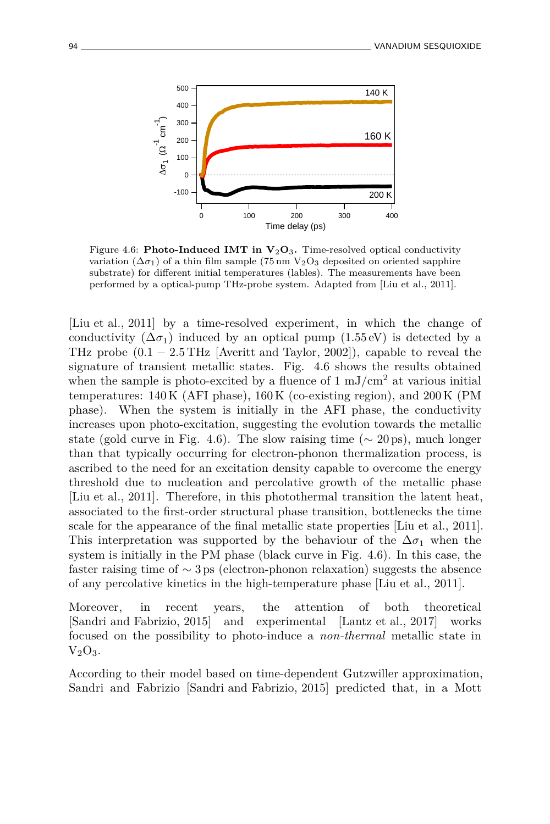

Figure 4.6: **Photo-Induced IMT in**  $V_2O_3$ **.** Time-resolved optical conductivity variation  $(\Delta \sigma_1)$  of a thin film sample (75 nm V<sub>2</sub>O<sub>3</sub> deposited on oriented sapphire substrate) for different initial temperatures (lables). The measurements have been performed by a optical-pump THz-probe system. Adapted from [Liu et al., 2011].

[Liu et al., 2011] by a time-resolved experiment, in which the change of conductivity  $(\Delta \sigma_1)$  induced by an optical pump  $(1.55 \text{ eV})$  is detected by a THz probe  $(0.1 - 2.5 \text{THz}$  [Averitt and Taylor, 2002]), capable to reveal the signature of transient metallic states. Fig. 4.6 shows the results obtained when the sample is photo-excited by a fluence of  $1 \text{ mJ/cm}^2$  at various initial temperatures: 140 K (AFI phase), 160 K (co-existing region), and 200 K (PM phase). When the system is initially in the AFI phase, the conductivity increases upon photo-excitation, suggesting the evolution towards the metallic state (gold curve in Fig. 4.6). The slow raising time ( $\sim$  20 ps), much longer than that typically occurring for electron-phonon thermalization process, is ascribed to the need for an excitation density capable to overcome the energy threshold due to nucleation and percolative growth of the metallic phase [Liu et al., 2011]. Therefore, in this photothermal transition the latent heat, associated to the first-order structural phase transition, bottlenecks the time scale for the appearance of the final metallic state properties [Liu et al., 2011]. This interpretation was supported by the behaviour of the  $\Delta \sigma_1$  when the system is initially in the PM phase (black curve in Fig. 4.6). In this case, the faster raising time of ∼ 3 ps (electron-phonon relaxation) suggests the absence of any percolative kinetics in the high-temperature phase [Liu et al., 2011].

Moreover, in recent years, the attention of both theoretical [Sandri and Fabrizio, 2015] and experimental [Lantz et al., 2017] works focused on the possibility to photo-induce a *non-thermal* metallic state in  $V_2O_3$ .

According to their model based on time-dependent Gutzwiller approximation, Sandri and Fabrizio [Sandri and Fabrizio, 2015] predicted that, in a Mott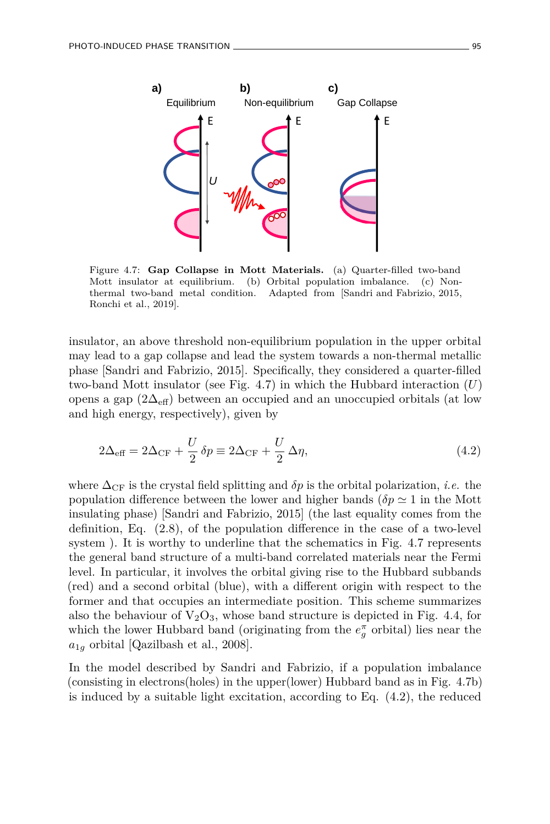

Figure 4.7: **Gap Collapse in Mott Materials.** (a) Quarter-filled two-band Mott insulator at equilibrium. (b) Orbital population imbalance. (c) Nonthermal two-band metal condition. Adapted from [Sandri and Fabrizio, 2015, Ronchi et al., 2019].

insulator, an above threshold non-equilibrium population in the upper orbital may lead to a gap collapse and lead the system towards a non-thermal metallic phase [Sandri and Fabrizio, 2015]. Specifically, they considered a quarter-filled two-band Mott insulator (see Fig. 4.7) in which the Hubbard interaction (*U*) opens a gap  $(2\Delta_{\text{eff}})$  between an occupied and an unoccupied orbitals (at low and high energy, respectively), given by

$$
2\Delta_{\text{eff}} = 2\Delta_{\text{CF}} + \frac{U}{2}\delta p \equiv 2\Delta_{\text{CF}} + \frac{U}{2}\Delta \eta,\tag{4.2}
$$

where  $\Delta_{CF}$  is the crystal field splitting and  $\delta p$  is the orbital polarization, *i.e.* the population difference between the lower and higher bands ( $\delta p \simeq 1$  in the Mott insulating phase) [Sandri and Fabrizio, 2015] (the last equality comes from the definition, Eq. (2.8), of the population difference in the case of a two-level system ). It is worthy to underline that the schematics in Fig. 4.7 represents the general band structure of a multi-band correlated materials near the Fermi level. In particular, it involves the orbital giving rise to the Hubbard subbands (red) and a second orbital (blue), with a different origin with respect to the former and that occupies an intermediate position. This scheme summarizes also the behaviour of  $V_2O_3$ , whose band structure is depicted in Fig. 4.4, for which the lower Hubbard band (originating from the  $e_g^{\pi}$  orbital) lies near the  $a_{1q}$  orbital [Qazilbash et al., 2008].

In the model described by Sandri and Fabrizio, if a population imbalance (consisting in electrons(holes) in the upper(lower) Hubbard band as in Fig. 4.7b) is induced by a suitable light excitation, according to Eq. (4.2), the reduced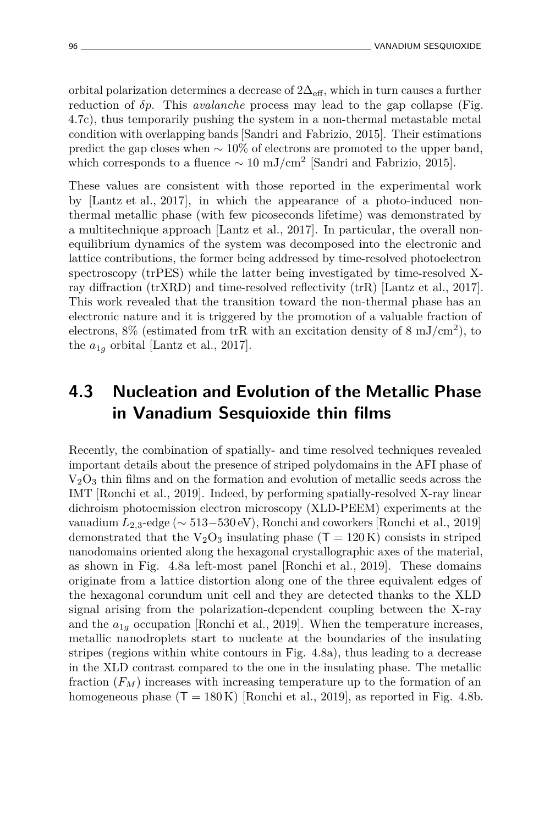orbital polarization determines a decrease of  $2\Delta_{\text{eff}}$ , which in turn causes a further reduction of *δp*. This *avalanche* process may lead to the gap collapse (Fig. 4.7c), thus temporarily pushing the system in a non-thermal metastable metal condition with overlapping bands [Sandri and Fabrizio, 2015]. Their estimations predict the gap closes when  $\sim 10\%$  of electrons are promoted to the upper band, which corresponds to a fluence  $\sim 10 \text{ mJ/cm}^2$  [Sandri and Fabrizio, 2015].

These values are consistent with those reported in the experimental work by [Lantz et al., 2017], in which the appearance of a photo-induced nonthermal metallic phase (with few picoseconds lifetime) was demonstrated by a multitechnique approach [Lantz et al., 2017]. In particular, the overall nonequilibrium dynamics of the system was decomposed into the electronic and lattice contributions, the former being addressed by time-resolved photoelectron spectroscopy (trPES) while the latter being investigated by time-resolved Xray diffraction (trXRD) and time-resolved reflectivity (trR) [Lantz et al., 2017]. This work revealed that the transition toward the non-thermal phase has an electronic nature and it is triggered by the promotion of a valuable fraction of electrons,  $8\%$  (estimated from trR with an excitation density of  $8 \text{ mJ/cm}^2$ ), to the  $a_{1g}$  orbital [Lantz et al., 2017].

## **4.3 Nucleation and Evolution of the Metallic Phase in Vanadium Sesquioxide thin films**

Recently, the combination of spatially- and time resolved techniques revealed important details about the presence of striped polydomains in the AFI phase of  $V<sub>2</sub>O<sub>3</sub>$  thin films and on the formation and evolution of metallic seeds across the IMT [Ronchi et al., 2019]. Indeed, by performing spatially-resolved X-ray linear dichroism photoemission electron microscopy (XLD-PEEM) experiments at the vanadium *L*2*,*3-edge (∼ 513−530 eV), Ronchi and coworkers [Ronchi et al., 2019] demonstrated that the  $V_2O_3$  insulating phase (T = 120 K) consists in striped nanodomains oriented along the hexagonal crystallographic axes of the material, as shown in Fig. 4.8a left-most panel [Ronchi et al., 2019]. These domains originate from a lattice distortion along one of the three equivalent edges of the hexagonal corundum unit cell and they are detected thanks to the XLD signal arising from the polarization-dependent coupling between the X-ray and the  $a_{1g}$  occupation [Ronchi et al., 2019]. When the temperature increases, metallic nanodroplets start to nucleate at the boundaries of the insulating stripes (regions within white contours in Fig. 4.8a), thus leading to a decrease in the XLD contrast compared to the one in the insulating phase. The metallic fraction  $(F_M)$  increases with increasing temperature up to the formation of an homogeneous phase  $(T = 180 \text{ K})$  [Ronchi et al., 2019], as reported in Fig. 4.8b.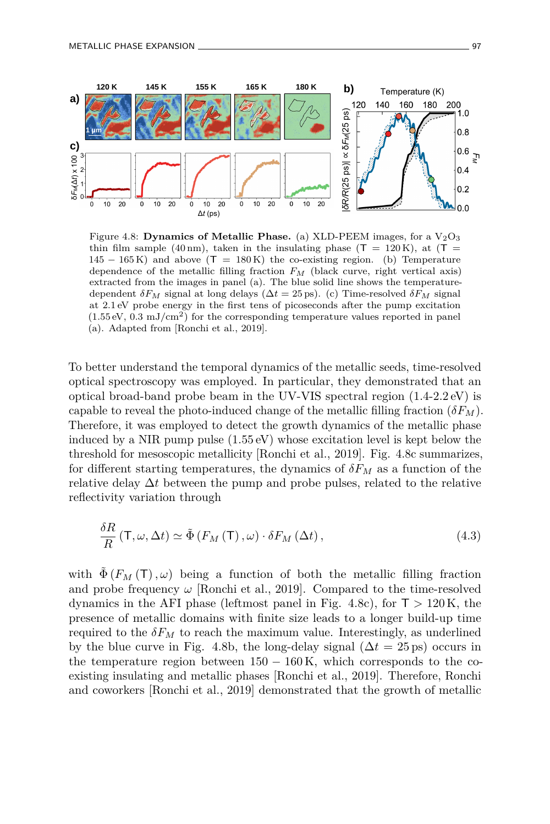

Figure 4.8: **Dynamics of Metallic Phase.** (a) XLD-PEEM images, for a  $V_2O_3$ thin film sample (40 nm), taken in the insulating phase ( $T = 120$  K), at ( $T =$  $145 - 165$  K) and above  $(T = 180$  K) the co-existing region. (b) Temperature dependence of the metallic filling fraction *F<sup>M</sup>* (black curve, right vertical axis) extracted from the images in panel (a). The blue solid line shows the temperaturedependent  $\delta F_M$  signal at long delays ( $\Delta t = 25$  ps). (c) Time-resolved  $\delta F_M$  signal at 2*.*1 eV probe energy in the first tens of picoseconds after the pump excitation  $(1.55 \text{ eV}, 0.3 \text{ mJ/cm}^2)$  for the corresponding temperature values reported in panel (a). Adapted from [Ronchi et al., 2019].

To better understand the temporal dynamics of the metallic seeds, time-resolved optical spectroscopy was employed. In particular, they demonstrated that an optical broad-band probe beam in the UV-VIS spectral region (1*.*4-2*.*2 eV) is capable to reveal the photo-induced change of the metallic filling fraction  $(\delta F_M)$ . Therefore, it was employed to detect the growth dynamics of the metallic phase induced by a NIR pump pulse (1*.*55 eV) whose excitation level is kept below the threshold for mesoscopic metallicity [Ronchi et al., 2019]. Fig. 4.8c summarizes, for different starting temperatures, the dynamics of *δF<sup>M</sup>* as a function of the relative delay ∆*t* between the pump and probe pulses, related to the relative reflectivity variation through

$$
\frac{\delta R}{R} \left( \mathsf{T}, \omega, \Delta t \right) \simeq \tilde{\Phi} \left( F_M \left( \mathsf{T} \right), \omega \right) \cdot \delta F_M \left( \Delta t \right), \tag{4.3}
$$

with  $\Phi(F_M(T), \omega)$  being a function of both the metallic filling fraction and probe frequency  $\omega$  [Ronchi et al., 2019]. Compared to the time-resolved dynamics in the AFI phase (leftmost panel in Fig. 4.8c), for  $T > 120$  K, the presence of metallic domains with finite size leads to a longer build-up time required to the  $\delta F_M$  to reach the maximum value. Interestingly, as underlined by the blue curve in Fig. 4.8b, the long-delay signal  $(\Delta t = 25 \text{ ps})$  occurs in the temperature region between  $150 - 160$  K, which corresponds to the coexisting insulating and metallic phases [Ronchi et al., 2019]. Therefore, Ronchi and coworkers [Ronchi et al., 2019] demonstrated that the growth of metallic